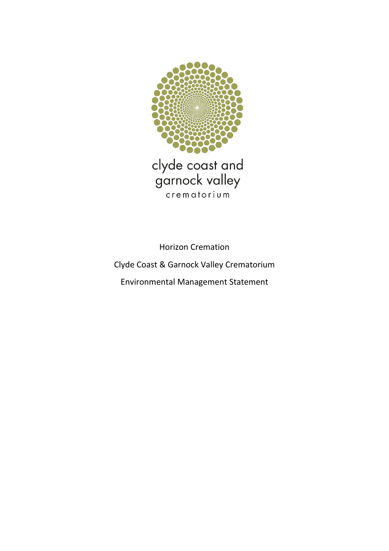

clyde coast and<br>garnock valley crematorium

Horizon Cremation Clyde Coast & Garnock Valley Crematorium Environmental Management Statement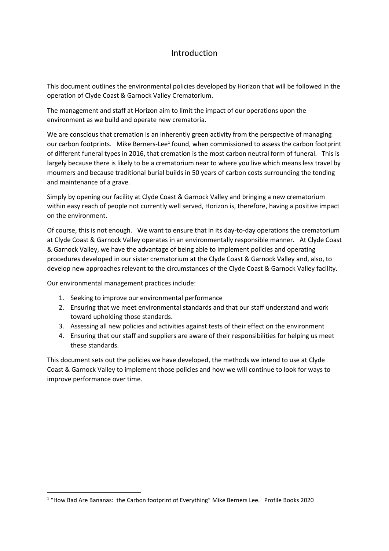### Introduction

This document outlines the environmental policies developed by Horizon that will be followed in the operation of Clyde Coast & Garnock Valley Crematorium.

The management and staff at Horizon aim to limit the impact of our operations upon the environment as we build and operate new crematoria.

We are conscious that cremation is an inherently green activity from the perspective of managing our carbon footprints. Mike Berners-Lee<sup>1</sup> found, when commissioned to assess the carbon footprint of different funeral types in 2016, that cremation is the most carbon neutral form of funeral. This is largely because there is likely to be a crematorium near to where you live which means less travel by mourners and because traditional burial builds in 50 years of carbon costs surrounding the tending and maintenance of a grave.

Simply by opening our facility at Clyde Coast & Garnock Valley and bringing a new crematorium within easy reach of people not currently well served, Horizon is, therefore, having a positive impact on the environment.

Of course, this is not enough. We want to ensure that in its day-to-day operations the crematorium at Clyde Coast & Garnock Valley operates in an environmentally responsible manner. At Clyde Coast & Garnock Valley, we have the advantage of being able to implement policies and operating procedures developed in our sister crematorium at the Clyde Coast & Garnock Valley and, also, to develop new approaches relevant to the circumstances of the Clyde Coast & Garnock Valley facility.

Our environmental management practices include:

- 1. Seeking to improve our environmental performance
- 2. Ensuring that we meet environmental standards and that our staff understand and work toward upholding those standards.
- 3. Assessing all new policies and activities against tests of their effect on the environment
- 4. Ensuring that our staff and suppliers are aware of their responsibilities for helping us meet these standards.

This document sets out the policies we have developed, the methods we intend to use at Clyde Coast & Garnock Valley to implement those policies and how we will continue to look for ways to improve performance over time.

<sup>&</sup>lt;sup>1</sup> "How Bad Are Bananas: the Carbon footprint of Everything" Mike Berners Lee. Profile Books 2020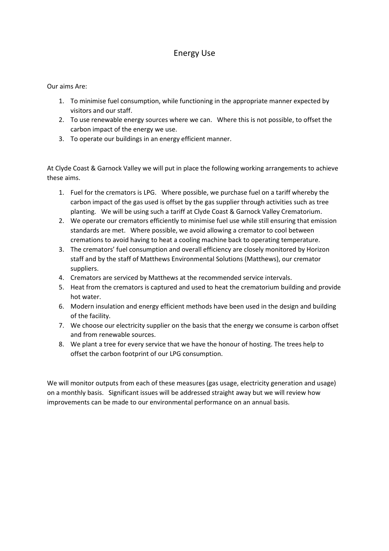## Energy Use

#### Our aims Are:

- 1. To minimise fuel consumption, while functioning in the appropriate manner expected by visitors and our staff.
- 2. To use renewable energy sources where we can. Where this is not possible, to offset the carbon impact of the energy we use.
- 3. To operate our buildings in an energy efficient manner.

At Clyde Coast & Garnock Valley we will put in place the following working arrangements to achieve these aims.

- 1. Fuel for the cremators is LPG. Where possible, we purchase fuel on a tariff whereby the carbon impact of the gas used is offset by the gas supplier through activities such as tree planting. We will be using such a tariff at Clyde Coast & Garnock Valley Crematorium.
- 2. We operate our cremators efficiently to minimise fuel use while still ensuring that emission standards are met. Where possible, we avoid allowing a cremator to cool between cremations to avoid having to heat a cooling machine back to operating temperature.
- 3. The cremators' fuel consumption and overall efficiency are closely monitored by Horizon staff and by the staff of Matthews Environmental Solutions (Matthews), our cremator suppliers.
- 4. Cremators are serviced by Matthews at the recommended service intervals.
- 5. Heat from the cremators is captured and used to heat the crematorium building and provide hot water.
- 6. Modern insulation and energy efficient methods have been used in the design and building of the facility.
- 7. We choose our electricity supplier on the basis that the energy we consume is carbon offset and from renewable sources.
- 8. We plant a tree for every service that we have the honour of hosting. The trees help to offset the carbon footprint of our LPG consumption.

We will monitor outputs from each of these measures (gas usage, electricity generation and usage) on a monthly basis. Significant issues will be addressed straight away but we will review how improvements can be made to our environmental performance on an annual basis.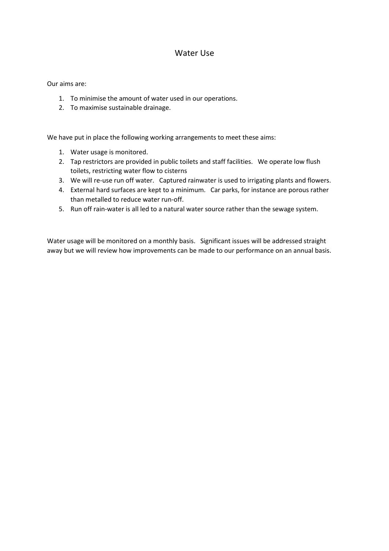### Water Use

Our aims are:

- 1. To minimise the amount of water used in our operations.
- 2. To maximise sustainable drainage.

We have put in place the following working arrangements to meet these aims:

- 1. Water usage is monitored.
- 2. Tap restrictors are provided in public toilets and staff facilities. We operate low flush toilets, restricting water flow to cisterns
- 3. We will re-use run off water. Captured rainwater is used to irrigating plants and flowers.
- 4. External hard surfaces are kept to a minimum. Car parks, for instance are porous rather than metalled to reduce water run-off.
- 5. Run off rain-water is all led to a natural water source rather than the sewage system.

Water usage will be monitored on a monthly basis. Significant issues will be addressed straight away but we will review how improvements can be made to our performance on an annual basis.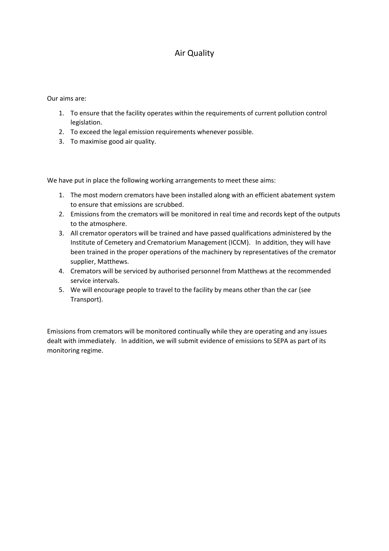# Air Quality

Our aims are:

- 1. To ensure that the facility operates within the requirements of current pollution control legislation.
- 2. To exceed the legal emission requirements whenever possible.
- 3. To maximise good air quality.

We have put in place the following working arrangements to meet these aims:

- 1. The most modern cremators have been installed along with an efficient abatement system to ensure that emissions are scrubbed.
- 2. Emissions from the cremators will be monitored in real time and records kept of the outputs to the atmosphere.
- 3. All cremator operators will be trained and have passed qualifications administered by the Institute of Cemetery and Crematorium Management (ICCM). In addition, they will have been trained in the proper operations of the machinery by representatives of the cremator supplier, Matthews.
- 4. Cremators will be serviced by authorised personnel from Matthews at the recommended service intervals.
- 5. We will encourage people to travel to the facility by means other than the car (see Transport).

Emissions from cremators will be monitored continually while they are operating and any issues dealt with immediately. In addition, we will submit evidence of emissions to SEPA as part of its monitoring regime.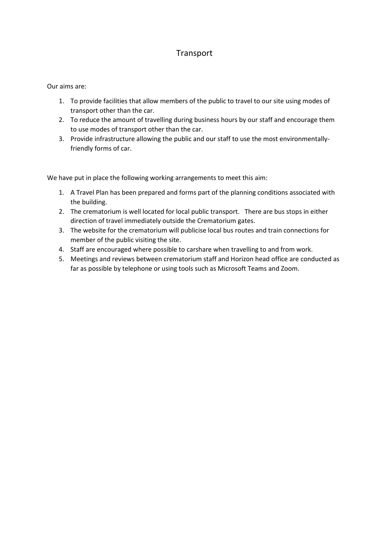# Transport

#### Our aims are:

- 1. To provide facilities that allow members of the public to travel to our site using modes of transport other than the car.
- 2. To reduce the amount of travelling during business hours by our staff and encourage them to use modes of transport other than the car.
- 3. Provide infrastructure allowing the public and our staff to use the most environmentallyfriendly forms of car.

- 1. A Travel Plan has been prepared and forms part of the planning conditions associated with the building.
- 2. The crematorium is well located for local public transport. There are bus stops in either direction of travel immediately outside the Crematorium gates.
- 3. The website for the crematorium will publicise local bus routes and train connections for member of the public visiting the site.
- 4. Staff are encouraged where possible to carshare when travelling to and from work.
- 5. Meetings and reviews between crematorium staff and Horizon head office are conducted as far as possible by telephone or using tools such as Microsoft Teams and Zoom.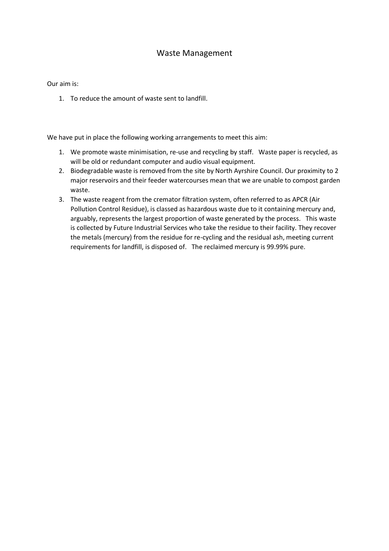### Waste Management

Our aim is:

1. To reduce the amount of waste sent to landfill.

- 1. We promote waste minimisation, re-use and recycling by staff. Waste paper is recycled, as will be old or redundant computer and audio visual equipment.
- 2. Biodegradable waste is removed from the site by North Ayrshire Council. Our proximity to 2 major reservoirs and their feeder watercourses mean that we are unable to compost garden waste.
- 3. The waste reagent from the cremator filtration system, often referred to as APCR (Air Pollution Control Residue), is classed as hazardous waste due to it containing mercury and, arguably, represents the largest proportion of waste generated by the process. This waste is collected by Future Industrial Services who take the residue to their facility. They recover the metals (mercury) from the residue for re-cycling and the residual ash, meeting current requirements for landfill, is disposed of. The reclaimed mercury is 99.99% pure.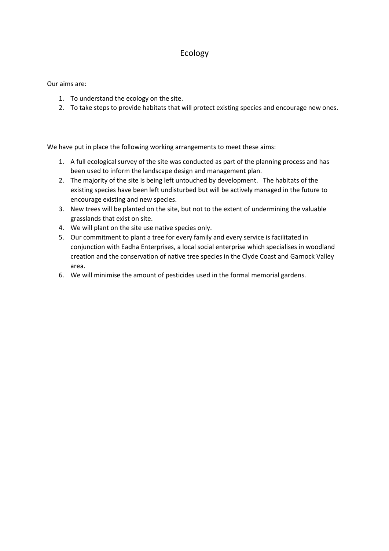## Ecology

Our aims are:

- 1. To understand the ecology on the site.
- 2. To take steps to provide habitats that will protect existing species and encourage new ones.

- 1. A full ecological survey of the site was conducted as part of the planning process and has been used to inform the landscape design and management plan.
- 2. The majority of the site is being left untouched by development. The habitats of the existing species have been left undisturbed but will be actively managed in the future to encourage existing and new species.
- 3. New trees will be planted on the site, but not to the extent of undermining the valuable grasslands that exist on site.
- 4. We will plant on the site use native species only.
- 5. Our commitment to plant a tree for every family and every service is facilitated in conjunction with Eadha Enterprises, a local social enterprise which specialises in woodland creation and the conservation of native tree species in the Clyde Coast and Garnock Valley area.
- 6. We will minimise the amount of pesticides used in the formal memorial gardens.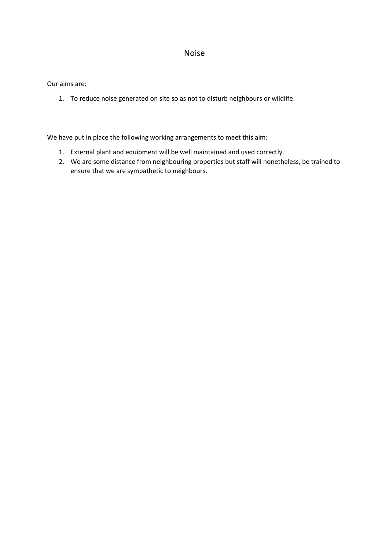### Noise

Our aims are:

1. To reduce noise generated on site so as not to disturb neighbours or wildlife.

- 1. External plant and equipment will be well maintained and used correctly.
- 2. We are some distance from neighbouring properties but staff will nonetheless, be trained to ensure that we are sympathetic to neighbours.